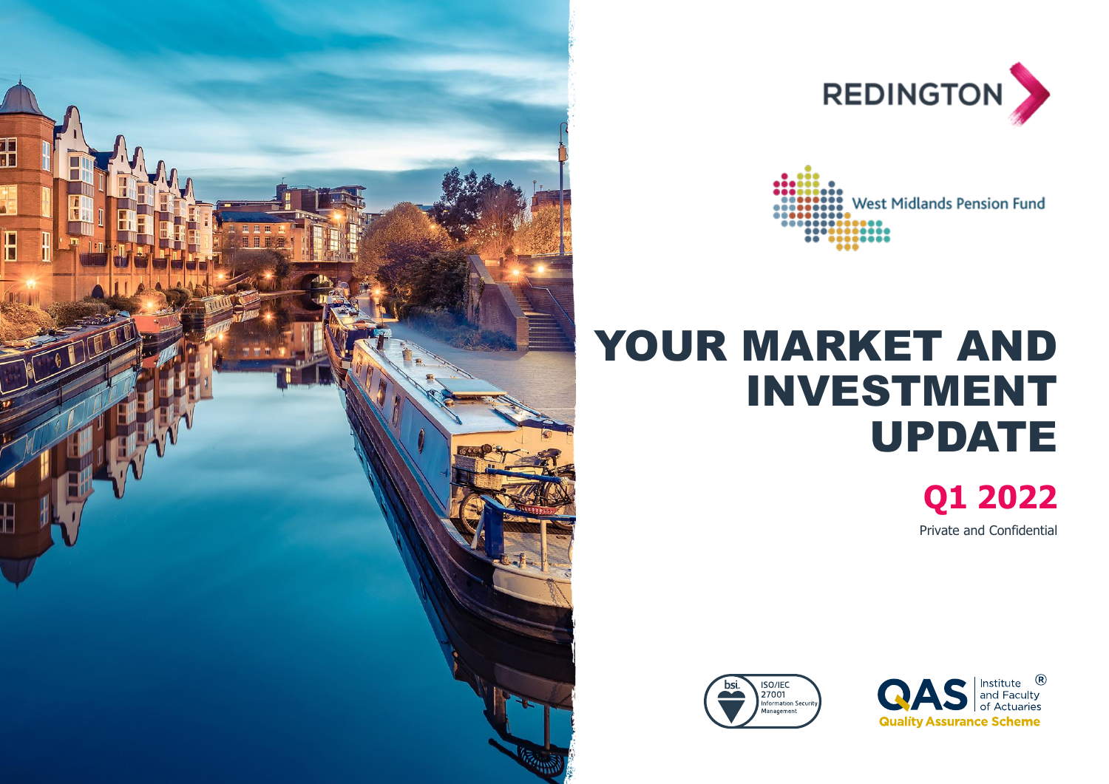





# YOUR MARKET AND INVESTMENT UPDATE

**Q1 2022** Private and Confidential



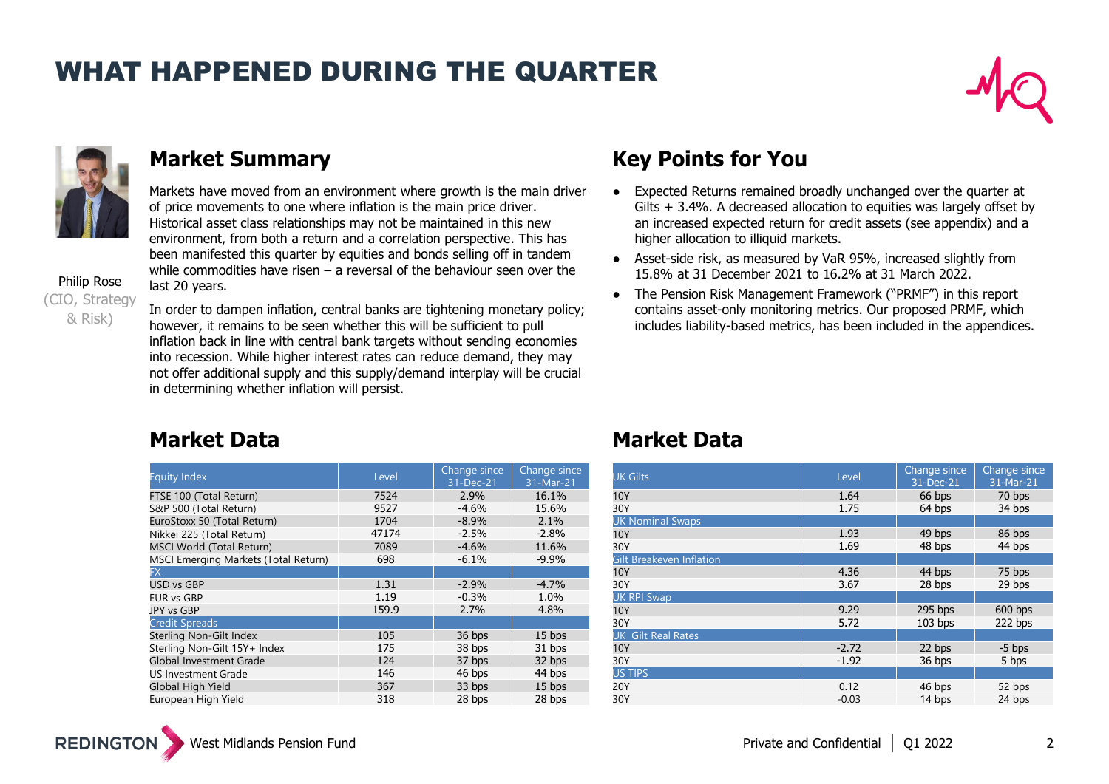### WHAT HAPPENED DURING THE QUARTER





Markets have moved from an environment where growth is the main driver of price movements to one where inflation is the main price driver. Historical asset class relationships may not be maintained in this new environment, from both a return and a correlation perspective. This has been manifested this quarter by equities and bonds selling off in tandem while commodities have risen  $-$  a reversal of the behaviour seen over the last 20 years.

Philip Rose (CIO, Strategy & Risk)

In order to dampen inflation, central banks are tightening monetary policy; however, it remains to be seen whether this will be sufficient to pull inflation back in line with central bank targets without sending economies into recession. While higher interest rates can reduce demand, they may not offer additional supply and this supply/demand interplay will be crucial in determining whether inflation will persist.

### **Market Summary Key Points for You**

- Expected Returns remained broadly unchanged over the quarter at Gilts + 3.4%. A decreased allocation to equities was largely offset by an increased expected return for credit assets (see appendix) and a higher allocation to illiquid markets.
- Asset-side risk, as measured by VaR 95%, increased slightly from 15.8% at 31 December 2021 to 16.2% at 31 March 2022.
- The Pension Risk Management Framework ("PRMF") in this report contains asset-only monitoring metrics. Our proposed PRMF, which includes liability-based metrics, has been included in the appendices.

### **Market Data Market Data**

| <b>Equity Index</b>                  | Level | Change since<br>31-Dec-21 | Change since<br>31-Mar-21 |
|--------------------------------------|-------|---------------------------|---------------------------|
| FTSE 100 (Total Return)              | 7524  | 2.9%                      | 16.1%                     |
| S&P 500 (Total Return)               | 9527  | $-4.6%$                   | 15.6%                     |
| EuroStoxx 50 (Total Return)          | 1704  | $-8.9%$                   | 2.1%                      |
| Nikkei 225 (Total Return)            | 47174 | $-2.5%$                   | $-2.8%$                   |
| <b>MSCI World (Total Return)</b>     | 7089  | $-4.6%$                   | 11.6%                     |
| MSCI Emerging Markets (Total Return) | 698   | $-6.1%$                   | $-9.9%$                   |
| FX.                                  |       |                           |                           |
| USD vs GBP                           | 1.31  | $-2.9%$                   | $-4.7%$                   |
| <b>EUR vs GBP</b>                    | 1.19  | $-0.3%$                   | 1.0%                      |
| JPY vs GBP                           | 159.9 | 2.7%                      | 4.8%                      |
| <b>Credit Spreads</b>                |       |                           |                           |
| Sterling Non-Gilt Index              | 105   | 36 bps                    | 15 bps                    |
| Sterling Non-Gilt 15Y+ Index         | 175   | 38 bps                    | 31 bps                    |
| <b>Global Investment Grade</b>       | 124   | 37 bps                    | 32 bps                    |
| US Investment Grade                  | 146   | 46 bps                    | 44 bps                    |
| Global High Yield                    | 367   | 33 bps                    | 15 bps                    |
| European High Yield                  | 318   | 28 bps                    | 28 bps                    |

| <b>UK Gilts</b>           | Level   | Change since<br>31-Dec-21 | Change since<br>31-Mar-21 |
|---------------------------|---------|---------------------------|---------------------------|
| 10Y                       | 1.64    | 66 bps                    | 70 bps                    |
| 30Y                       | 1.75    | 64 bps                    | 34 bps                    |
| <b>UK Nominal Swaps</b>   |         |                           |                           |
| 10Y                       | 1.93    | 49 bps                    | 86 bps                    |
| 30Y                       | 1.69    | 48 bps                    | 44 bps                    |
| Gilt Breakeven Inflation  |         |                           |                           |
| 10Y                       | 4.36    | 44 bps                    | 75 bps                    |
| 30Y                       | 3.67    | 28 bps                    | 29 bps                    |
| <b>UK RPI Swap</b>        |         |                           |                           |
| 10Y                       | 9.29    | 295 bps                   | $600$ bps                 |
| 30Y                       | 5.72    | $103$ bps                 | 222 bps                   |
| <b>UK Gilt Real Rates</b> |         |                           |                           |
| 10Y                       | $-2.72$ | 22 bps                    | $-5$ bps                  |
| 30Y                       | $-1.92$ | 36 bps                    | 5 bps                     |
| <b>US TIPS</b>            |         |                           |                           |
| 20Y                       | 0.12    | 46 bps                    | 52 bps                    |
| 30Y                       | $-0.03$ | 14 bps                    | 24 bps                    |

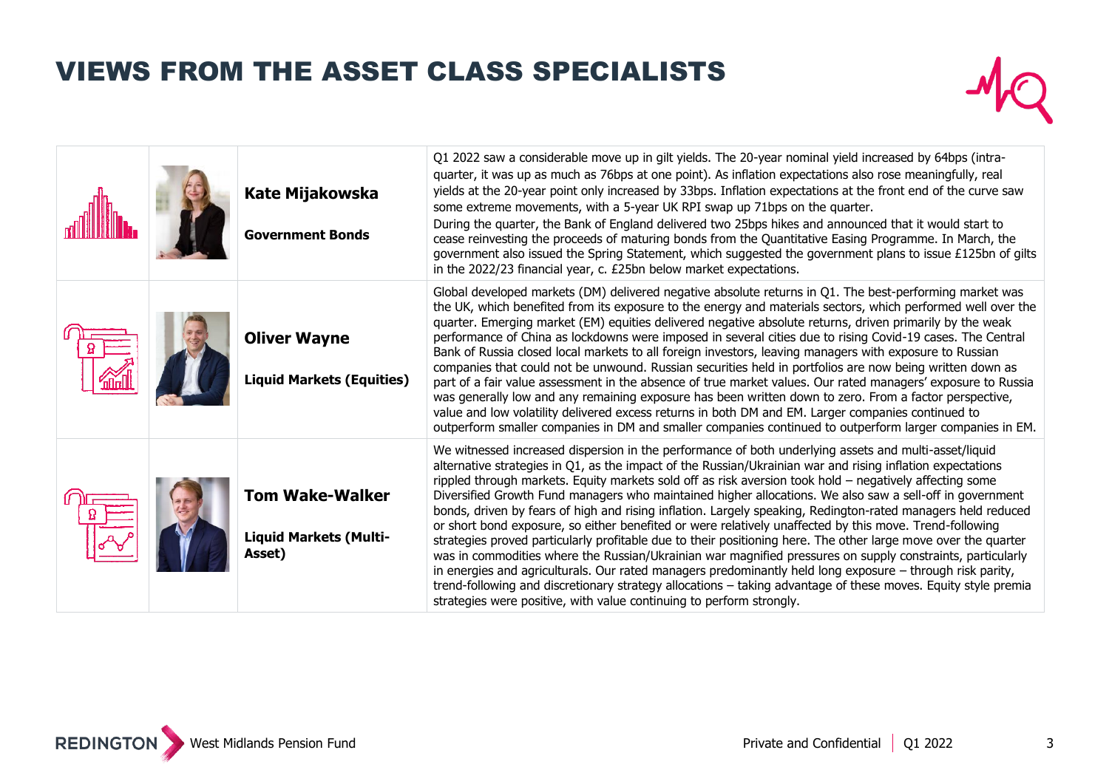## VIEWS FROM THE ASSET CLASS SPECIALISTS



|  | <b>Kate Mijakowska</b><br><b>Government Bonds</b>                 | Q1 2022 saw a considerable move up in gilt yields. The 20-year nominal yield increased by 64bps (intra-<br>quarter, it was up as much as 76bps at one point). As inflation expectations also rose meaningfully, real<br>yields at the 20-year point only increased by 33bps. Inflation expectations at the front end of the curve saw<br>some extreme movements, with a 5-year UK RPI swap up 71bps on the quarter.<br>During the quarter, the Bank of England delivered two 25bps hikes and announced that it would start to<br>cease reinvesting the proceeds of maturing bonds from the Quantitative Easing Programme. In March, the<br>government also issued the Spring Statement, which suggested the government plans to issue £125bn of gilts<br>in the 2022/23 financial year, c. £25bn below market expectations.                                                                                                                                                                                                                                                                                                                                                                                   |
|--|-------------------------------------------------------------------|---------------------------------------------------------------------------------------------------------------------------------------------------------------------------------------------------------------------------------------------------------------------------------------------------------------------------------------------------------------------------------------------------------------------------------------------------------------------------------------------------------------------------------------------------------------------------------------------------------------------------------------------------------------------------------------------------------------------------------------------------------------------------------------------------------------------------------------------------------------------------------------------------------------------------------------------------------------------------------------------------------------------------------------------------------------------------------------------------------------------------------------------------------------------------------------------------------------|
|  | <b>Oliver Wayne</b><br><b>Liquid Markets (Equities)</b>           | Global developed markets (DM) delivered negative absolute returns in Q1. The best-performing market was<br>the UK, which benefited from its exposure to the energy and materials sectors, which performed well over the<br>quarter. Emerging market (EM) equities delivered negative absolute returns, driven primarily by the weak<br>performance of China as lockdowns were imposed in several cities due to rising Covid-19 cases. The Central<br>Bank of Russia closed local markets to all foreign investors, leaving managers with exposure to Russian<br>companies that could not be unwound. Russian securities held in portfolios are now being written down as<br>part of a fair value assessment in the absence of true market values. Our rated managers' exposure to Russia<br>was generally low and any remaining exposure has been written down to zero. From a factor perspective,<br>value and low volatility delivered excess returns in both DM and EM. Larger companies continued to<br>outperform smaller companies in DM and smaller companies continued to outperform larger companies in EM.                                                                                          |
|  | <b>Tom Wake-Walker</b><br><b>Liquid Markets (Multi-</b><br>Asset) | We witnessed increased dispersion in the performance of both underlying assets and multi-asset/liquid<br>alternative strategies in Q1, as the impact of the Russian/Ukrainian war and rising inflation expectations<br>rippled through markets. Equity markets sold off as risk aversion took hold - negatively affecting some<br>Diversified Growth Fund managers who maintained higher allocations. We also saw a sell-off in government<br>bonds, driven by fears of high and rising inflation. Largely speaking, Redington-rated managers held reduced<br>or short bond exposure, so either benefited or were relatively unaffected by this move. Trend-following<br>strategies proved particularly profitable due to their positioning here. The other large move over the quarter<br>was in commodities where the Russian/Ukrainian war magnified pressures on supply constraints, particularly<br>in energies and agriculturals. Our rated managers predominantly held long exposure $-$ through risk parity,<br>trend-following and discretionary strategy allocations - taking advantage of these moves. Equity style premia<br>strategies were positive, with value continuing to perform strongly. |



3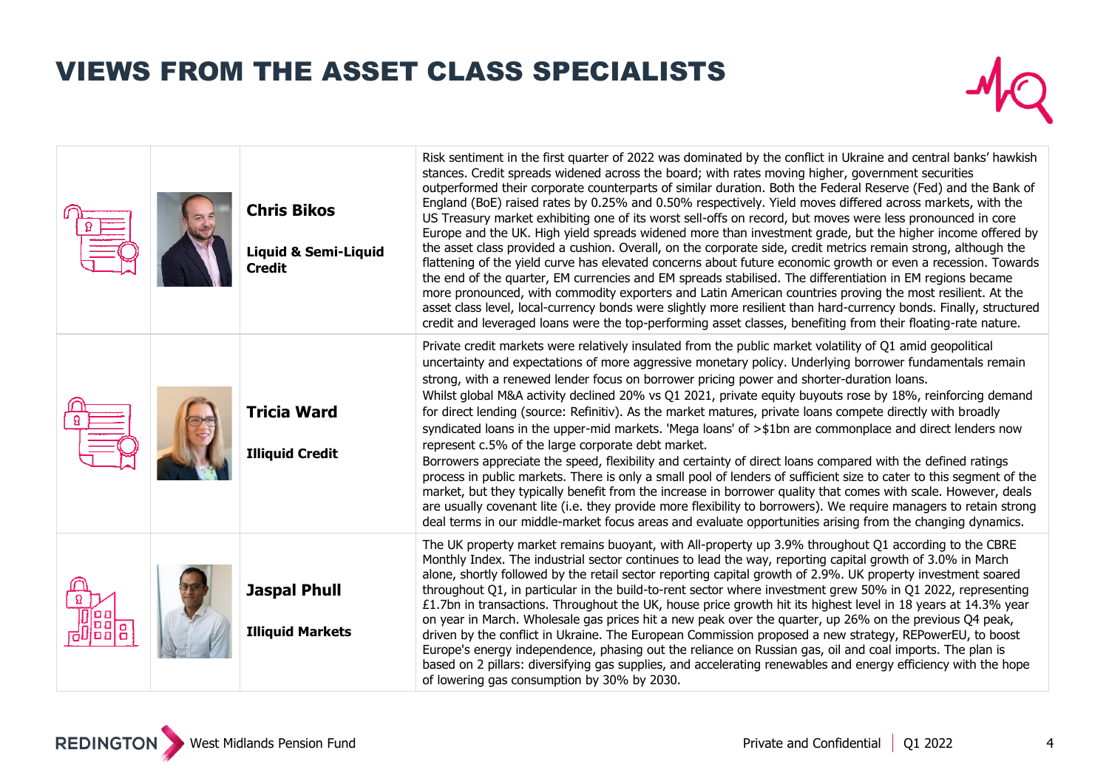## VIEWS FROM THE ASSET CLASS SPECIALISTS



|  | <b>Chris Bikos</b><br><b>Liquid &amp; Semi-Liquid</b><br><b>Credit</b> | Risk sentiment in the first quarter of 2022 was dominated by the conflict in Ukraine and central banks' hawkish<br>stances. Credit spreads widened across the board; with rates moving higher, government securities<br>outperformed their corporate counterparts of similar duration. Both the Federal Reserve (Fed) and the Bank of<br>England (BoE) raised rates by 0.25% and 0.50% respectively. Yield moves differed across markets, with the<br>US Treasury market exhibiting one of its worst sell-offs on record, but moves were less pronounced in core<br>Europe and the UK. High yield spreads widened more than investment grade, but the higher income offered by<br>the asset class provided a cushion. Overall, on the corporate side, credit metrics remain strong, although the<br>flattening of the yield curve has elevated concerns about future economic growth or even a recession. Towards<br>the end of the quarter, EM currencies and EM spreads stabilised. The differentiation in EM regions became<br>more pronounced, with commodity exporters and Latin American countries proving the most resilient. At the<br>asset class level, local-currency bonds were slightly more resilient than hard-currency bonds. Finally, structured<br>credit and leveraged loans were the top-performing asset classes, benefiting from their floating-rate nature. |
|--|------------------------------------------------------------------------|------------------------------------------------------------------------------------------------------------------------------------------------------------------------------------------------------------------------------------------------------------------------------------------------------------------------------------------------------------------------------------------------------------------------------------------------------------------------------------------------------------------------------------------------------------------------------------------------------------------------------------------------------------------------------------------------------------------------------------------------------------------------------------------------------------------------------------------------------------------------------------------------------------------------------------------------------------------------------------------------------------------------------------------------------------------------------------------------------------------------------------------------------------------------------------------------------------------------------------------------------------------------------------------------------------------------------------------------------------------------------------|
|  | <b>Tricia Ward</b><br><b>Illiquid Credit</b>                           | Private credit markets were relatively insulated from the public market volatility of Q1 amid geopolitical<br>uncertainty and expectations of more aggressive monetary policy. Underlying borrower fundamentals remain<br>strong, with a renewed lender focus on borrower pricing power and shorter-duration loans.<br>Whilst global M&A activity declined 20% vs Q1 2021, private equity buyouts rose by 18%, reinforcing demand<br>for direct lending (source: Refinitiv). As the market matures, private loans compete directly with broadly<br>syndicated loans in the upper-mid markets. 'Mega loans' of $>$ \$1bn are commonplace and direct lenders now<br>represent c.5% of the large corporate debt market.<br>Borrowers appreciate the speed, flexibility and certainty of direct loans compared with the defined ratings<br>process in public markets. There is only a small pool of lenders of sufficient size to cater to this segment of the<br>market, but they typically benefit from the increase in borrower quality that comes with scale. However, deals<br>are usually covenant lite (i.e. they provide more flexibility to borrowers). We require managers to retain strong<br>deal terms in our middle-market focus areas and evaluate opportunities arising from the changing dynamics.                                                                    |
|  | <b>Jaspal Phull</b><br><b>Illiquid Markets</b>                         | The UK property market remains buoyant, with All-property up 3.9% throughout Q1 according to the CBRE<br>Monthly Index. The industrial sector continues to lead the way, reporting capital growth of 3.0% in March<br>alone, shortly followed by the retail sector reporting capital growth of 2.9%. UK property investment soared<br>throughout Q1, in particular in the build-to-rent sector where investment grew 50% in Q1 2022, representing<br>£1.7bn in transactions. Throughout the UK, house price growth hit its highest level in 18 years at 14.3% year<br>on year in March. Wholesale gas prices hit a new peak over the quarter, up 26% on the previous Q4 peak,<br>driven by the conflict in Ukraine. The European Commission proposed a new strategy, REPowerEU, to boost<br>Europe's energy independence, phasing out the reliance on Russian gas, oil and coal imports. The plan is<br>based on 2 pillars: diversifying gas supplies, and accelerating renewables and energy efficiency with the hope<br>of lowering gas consumption by 30% by 2030.                                                                                                                                                                                                                                                                                                              |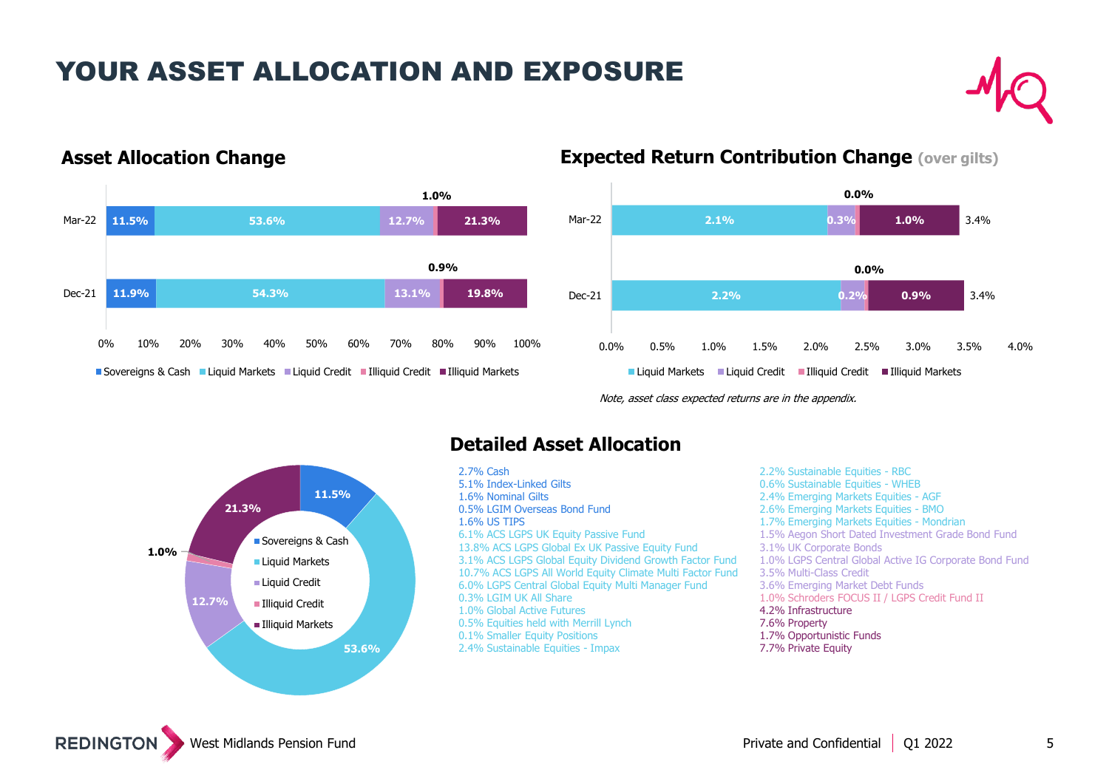### YOUR ASSET ALLOCATION AND EXPOSURE





### **Asset Allocation Change Expected Return Contribution Change (over gilts)**



Note, asset class expected returns are in the appendix.



### **Detailed Asset Allocation**

2.7% Cash 5.1% Index-Linked Gilts 1.6% Nominal Gilts 0.5% LGIM Overseas Bond Fund 1.6% US TIPS 6.1% ACS LGPS UK Equity Passive Fund 13.8% ACS LGPS Global Ex UK Passive Equity Fund 3.1% ACS LGPS Global Equity Dividend Growth Factor Fund 10.7% ACS LGPS All World Equity Climate Multi Factor Fund 6.0% LGPS Central Global Equity Multi Manager Fund 0.3% LGIM UK All Share 1.0% Global Active Futures 0.5% Equities held with Merrill Lynch 0.1% Smaller Equity Positions 2.4% Sustainable Equities - Impax

2.2% Sustainable Equities - RBC 0.6% Sustainable Equities - WHEB 2.4% Emerging Markets Equities - AGF 2.6% Emerging Markets Equities - BMO 1.7% Emerging Markets Equities - Mondrian 1.5% Aegon Short Dated Investment Grade Bond Fund 3.1% UK Corporate Bonds 1.0% LGPS Central Global Active IG Corporate Bond Fund 3.5% Multi-Class Credit 3.6% Emerging Market Debt Funds 1.0% Schroders FOCUS II / LGPS Credit Fund II 4.2% Infrastructure 7.6% Property 1.7% Opportunistic Funds 7.7% Private Equity

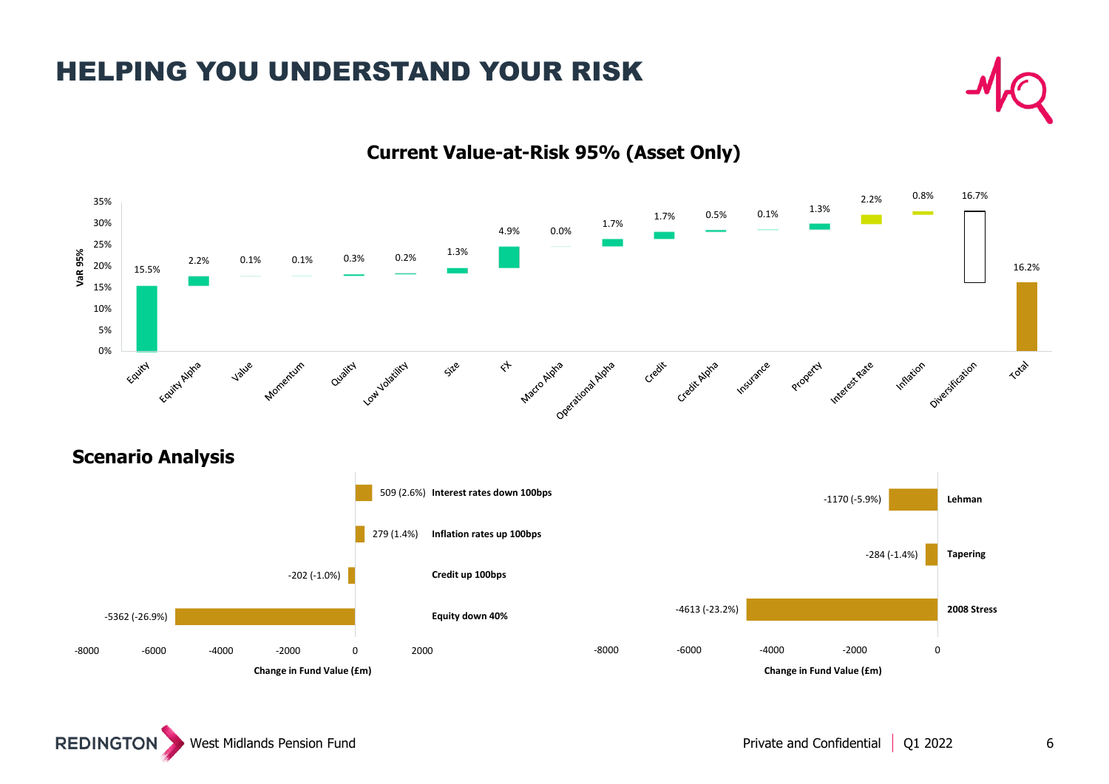### HELPING YOU UNDERSTAND YOUR RISK



### **Current Value-at-Risk 95% (Asset Only)**

-5362 (-26.9%) -202 (-1.0%) 279 (1.4%)

**Change in Fund Value (£m)** 

**Credit up 100bps Inflation rates up 100bps**

**Equity down 40%**

-8000 -6000 -4000 -2000 0 2000

-4613 (-23.2%) -284 (-1.4%) -8000 -6000 -4000 -4000 -2000 0 **2008 Stress Tapering Change in Fund Value (£m)** 

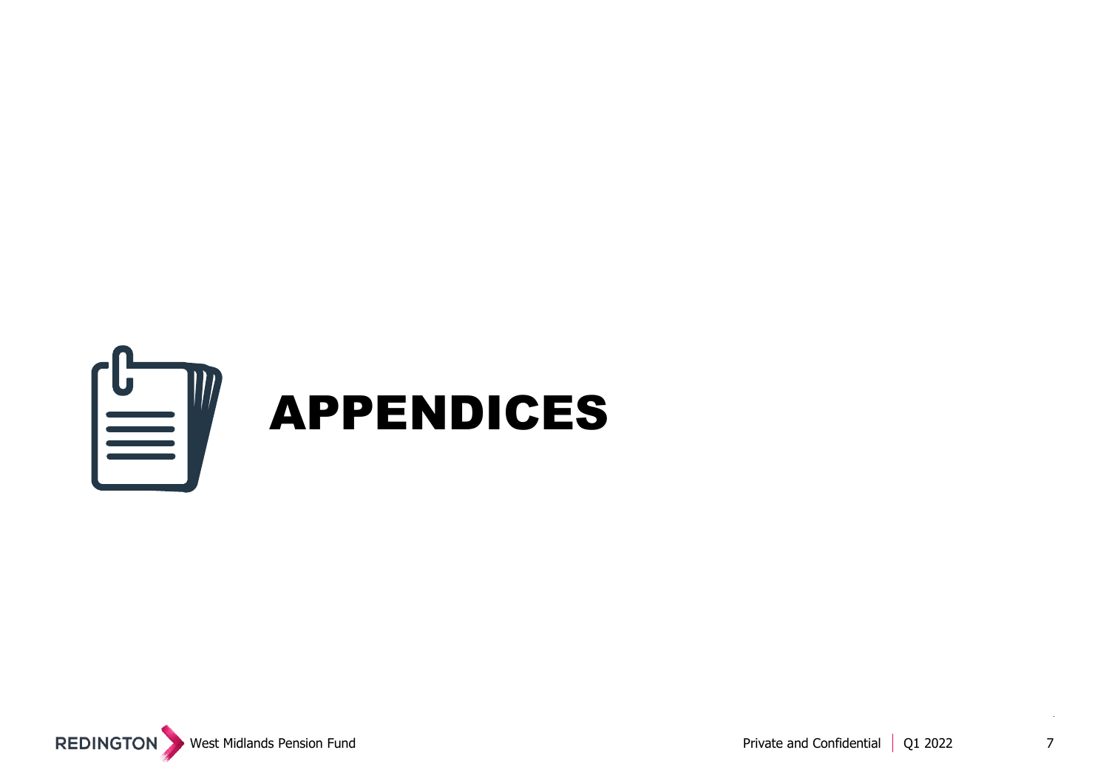

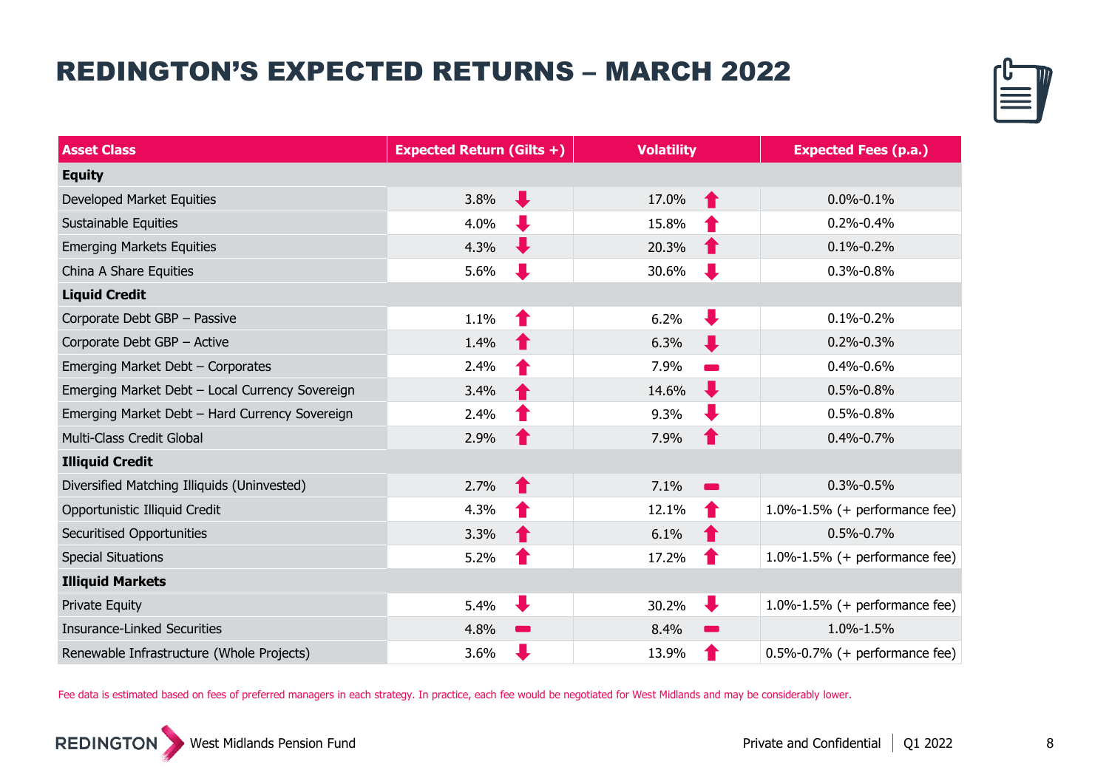## REDINGTON'S EXPECTED RETURNS – MARCH 2022



| <b>Asset Class</b>                              | <b>Expected Return (Gilts +)</b> | <b>Volatility</b>                | <b>Expected Fees (p.a.)</b>         |
|-------------------------------------------------|----------------------------------|----------------------------------|-------------------------------------|
| <b>Equity</b>                                   |                                  |                                  |                                     |
| Developed Market Equities                       | J<br>3.8%                        | 17.0%<br>Ŧ                       | $0.0\% - 0.1\%$                     |
| Sustainable Equities                            | 4.0%                             | 15.8%                            | $0.2\% - 0.4\%$                     |
| <b>Emerging Markets Equities</b>                | 4.3%                             | 20.3%                            | $0.1\% - 0.2\%$                     |
| China A Share Equities                          | 5.6%                             | 30.6%                            | 0.3%-0.8%                           |
| <b>Liquid Credit</b>                            |                                  |                                  |                                     |
| Corporate Debt GBP - Passive                    | 1.1%                             | 6.2%                             | $0.1\% - 0.2\%$                     |
| Corporate Debt GBP - Active                     | 1.4%                             | 6.3%<br>J                        | $0.2\% - 0.3\%$                     |
| Emerging Market Debt - Corporates               | 2.4%                             | 7.9%                             | 0.4%-0.6%                           |
| Emerging Market Debt - Local Currency Sovereign | 3.4%                             | J<br>14.6%                       | $0.5\% - 0.8\%$                     |
| Emerging Market Debt - Hard Currency Sovereign  | 2.4%                             | 9.3%                             | 0.5%-0.8%                           |
| Multi-Class Credit Global                       | 2.9%                             | 7.9%<br>Т                        | $0.4\% - 0.7\%$                     |
| <b>Illiquid Credit</b>                          |                                  |                                  |                                     |
| Diversified Matching Illiquids (Uninvested)     | 2.7%<br>Ŧ                        | 7.1%<br>$\overline{\phantom{a}}$ | 0.3%-0.5%                           |
| Opportunistic Illiquid Credit                   | 4.3%                             | 12.1%                            | $1.0\% - 1.5\%$ (+ performance fee) |
| <b>Securitised Opportunities</b>                | 3.3%                             | 6.1%                             | $0.5\% - 0.7\%$                     |
| <b>Special Situations</b>                       | 5.2%                             | 17.2%                            | $1.0\% - 1.5\%$ (+ performance fee) |
| <b>Illiquid Markets</b>                         |                                  |                                  |                                     |
| <b>Private Equity</b>                           | J<br>5.4%                        | ┺<br>30.2%                       | $1.0\% - 1.5\%$ (+ performance fee) |
| <b>Insurance-Linked Securities</b>              | 4.8%<br><b>Contract</b>          | 8.4%                             | 1.0%-1.5%                           |
| Renewable Infrastructure (Whole Projects)       | 3.6%                             | 13.9%                            | $0.5\%$ -0.7% (+ performance fee)   |

Fee data is estimated based on fees of preferred managers in each strategy. In practice, each fee would be negotiated for West Midlands and may be considerably lower.



8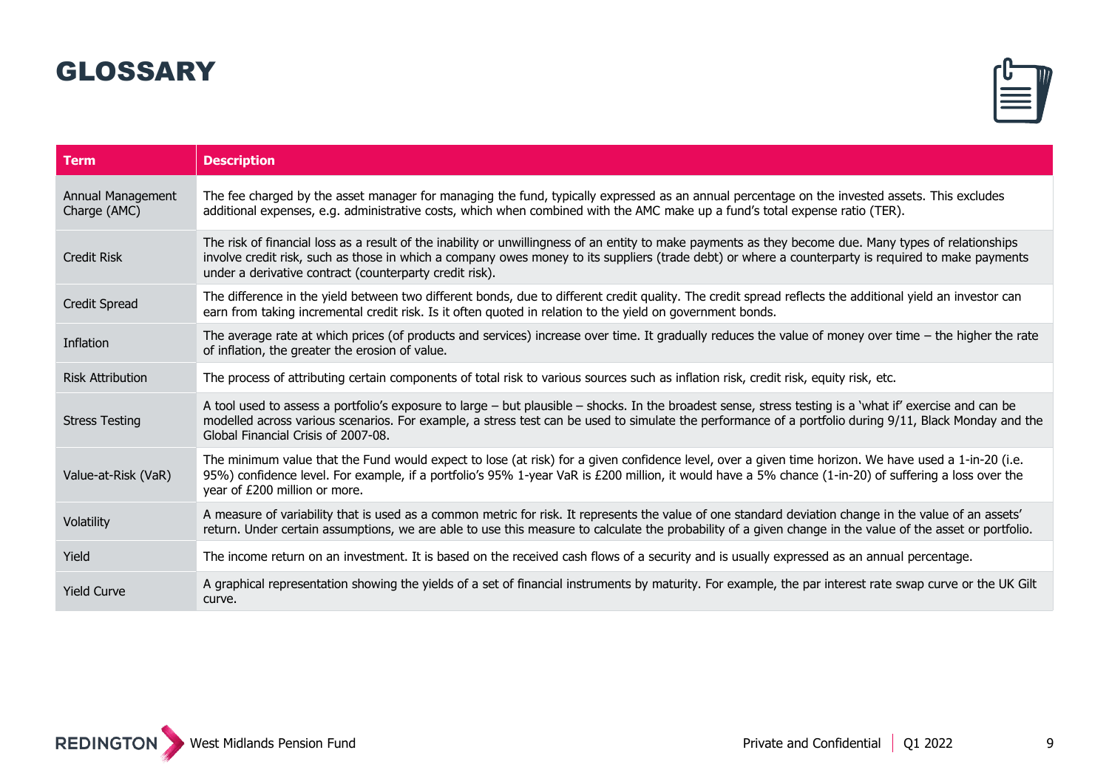### GLOSSARY



| <b>Term</b>                       | <b>Description</b>                                                                                                                                                                                                                                                                                                                                                       |
|-----------------------------------|--------------------------------------------------------------------------------------------------------------------------------------------------------------------------------------------------------------------------------------------------------------------------------------------------------------------------------------------------------------------------|
| Annual Management<br>Charge (AMC) | The fee charged by the asset manager for managing the fund, typically expressed as an annual percentage on the invested assets. This excludes<br>additional expenses, e.g. administrative costs, which when combined with the AMC make up a fund's total expense ratio (TER).                                                                                            |
| <b>Credit Risk</b>                | The risk of financial loss as a result of the inability or unwillingness of an entity to make payments as they become due. Many types of relationships<br>involve credit risk, such as those in which a company owes money to its suppliers (trade debt) or where a counterparty is required to make payments<br>under a derivative contract (counterparty credit risk). |
| <b>Credit Spread</b>              | The difference in the yield between two different bonds, due to different credit quality. The credit spread reflects the additional yield an investor can<br>earn from taking incremental credit risk. Is it often quoted in relation to the yield on government bonds.                                                                                                  |
| Inflation                         | The average rate at which prices (of products and services) increase over time. It gradually reduces the value of money over time $-$ the higher the rate<br>of inflation, the greater the erosion of value.                                                                                                                                                             |
| <b>Risk Attribution</b>           | The process of attributing certain components of total risk to various sources such as inflation risk, credit risk, equity risk, etc.                                                                                                                                                                                                                                    |
| <b>Stress Testing</b>             | A tool used to assess a portfolio's exposure to large - but plausible - shocks. In the broadest sense, stress testing is a 'what if' exercise and can be<br>modelled across various scenarios. For example, a stress test can be used to simulate the performance of a portfolio during 9/11, Black Monday and the<br>Global Financial Crisis of 2007-08.                |
| Value-at-Risk (VaR)               | The minimum value that the Fund would expect to lose (at risk) for a given confidence level, over a given time horizon. We have used a 1-in-20 (i.e.<br>95%) confidence level. For example, if a portfolio's 95% 1-year VaR is £200 million, it would have a 5% chance (1-in-20) of suffering a loss over the<br>year of £200 million or more.                           |
| Volatility                        | A measure of variability that is used as a common metric for risk. It represents the value of one standard deviation change in the value of an assets'<br>return. Under certain assumptions, we are able to use this measure to calculate the probability of a given change in the value of the asset or portfolio.                                                      |
| Yield                             | The income return on an investment. It is based on the received cash flows of a security and is usually expressed as an annual percentage.                                                                                                                                                                                                                               |
| <b>Yield Curve</b>                | A graphical representation showing the yields of a set of financial instruments by maturity. For example, the par interest rate swap curve or the UK Gilt<br>curve.                                                                                                                                                                                                      |